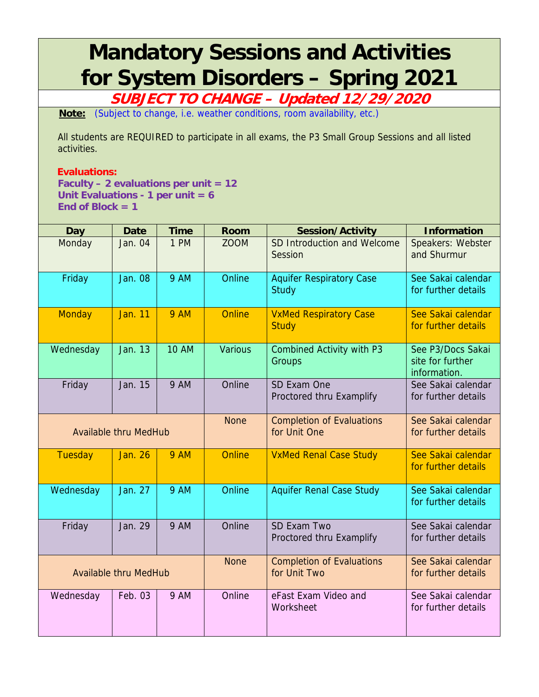## **Mandatory Sessions and Activities for System Disorders – Spring 2021**

**SUBJECT TO CHANGE – Updated 12/29/2020** 

**Note:** (Subject to change, i.e. weather conditions, room availability, etc.)

All students are REQUIRED to participate in all exams, the P3 Small Group Sessions and all listed activities.

## **Evaluations:**

**Faculty – 2 evaluations per unit = 12 Unit Evaluations - 1 per unit = 6 End of Block = 1** 

| <b>Day</b>                   | <b>Date</b>    | <b>Time</b>  | <b>Room</b>                                      | <b>Session/Activity</b>                       | <b>Information</b>                                    |
|------------------------------|----------------|--------------|--------------------------------------------------|-----------------------------------------------|-------------------------------------------------------|
| Monday                       | Jan. 04        | 1 PM         | <b>ZOOM</b>                                      | SD Introduction and Welcome<br>Session        | Speakers: Webster<br>and Shurmur                      |
| Friday                       | <b>Jan. 08</b> | <b>9 AM</b>  | Online                                           | <b>Aquifer Respiratory Case</b><br>Study      | See Sakai calendar<br>for further details             |
| <b>Monday</b>                | <b>Jan. 11</b> | <b>9 AM</b>  | Online                                           | <b>VxMed Respiratory Case</b><br><b>Study</b> | See Sakai calendar<br>for further details             |
| Wednesday                    | Jan. 13        | <b>10 AM</b> | <b>Various</b>                                   | <b>Combined Activity with P3</b><br>Groups    | See P3/Docs Sakai<br>site for further<br>information. |
| Friday                       | Jan. 15        | <b>9 AM</b>  | Online                                           | SD Exam One<br>Proctored thru Examplify       | See Sakai calendar<br>for further details             |
| <b>Available thru MedHub</b> |                | <b>None</b>  | <b>Completion of Evaluations</b><br>for Unit One | See Sakai calendar<br>for further details     |                                                       |
| <b>Tuesday</b>               | <b>Jan. 26</b> | <b>9 AM</b>  | <b>Online</b>                                    | <b>VxMed Renal Case Study</b>                 | See Sakai calendar<br>for further details             |
| Wednesday                    | Jan. 27        | <b>9 AM</b>  | Online                                           | <b>Aquifer Renal Case Study</b>               | See Sakai calendar<br>for further details             |
| Friday                       | Jan. 29        | <b>9 AM</b>  | Online                                           | SD Exam Two<br>Proctored thru Examplify       | See Sakai calendar<br>for further details             |
| <b>Available thru MedHub</b> |                | <b>None</b>  | <b>Completion of Evaluations</b><br>for Unit Two | See Sakai calendar<br>for further details     |                                                       |
| Wednesday                    | Feb. 03        | <b>9 AM</b>  | Online                                           | eFast Exam Video and<br>Worksheet             | See Sakai calendar<br>for further details             |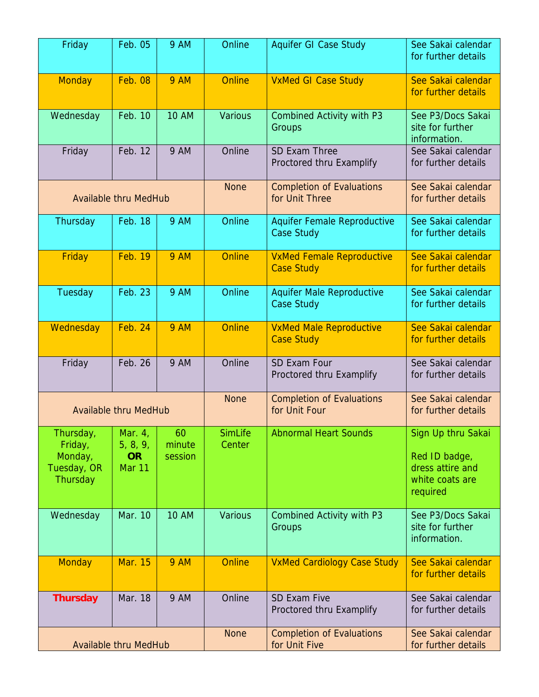| Friday                                                     | Feb. 05                                            | <b>9 AM</b>             | Online                                            | <b>Aquifer GI Case Study</b>                            | See Sakai calendar<br>for further details                                              |
|------------------------------------------------------------|----------------------------------------------------|-------------------------|---------------------------------------------------|---------------------------------------------------------|----------------------------------------------------------------------------------------|
| <b>Monday</b>                                              | <b>Feb. 08</b>                                     | <b>9 AM</b>             | <b>Online</b>                                     | <b>VxMed GI Case Study</b>                              | See Sakai calendar<br>for further details                                              |
| Wednesday                                                  | Feb. 10                                            | <b>10 AM</b>            | <b>Various</b>                                    | <b>Combined Activity with P3</b><br>Groups              | See P3/Docs Sakai<br>site for further<br>information.                                  |
| Friday                                                     | Feb. 12                                            | <b>9 AM</b>             | Online                                            | SD Exam Three<br>Proctored thru Examplify               | See Sakai calendar<br>for further details                                              |
| <b>Available thru MedHub</b>                               |                                                    |                         | <b>None</b>                                       | <b>Completion of Evaluations</b><br>for Unit Three      | See Sakai calendar<br>for further details                                              |
| Thursday                                                   | Feb. 18                                            | <b>9 AM</b>             | Online                                            | <b>Aquifer Female Reproductive</b><br><b>Case Study</b> | See Sakai calendar<br>for further details                                              |
| Friday                                                     | <b>Feb. 19</b>                                     | <b>9 AM</b>             | <b>Online</b>                                     | <b>VxMed Female Reproductive</b><br><b>Case Study</b>   | See Sakai calendar<br>for further details                                              |
| Tuesday                                                    | Feb. 23                                            | <b>9 AM</b>             | Online                                            | <b>Aquifer Male Reproductive</b><br><b>Case Study</b>   | See Sakai calendar<br>for further details                                              |
| Wednesday                                                  | <b>Feb. 24</b>                                     | <b>9 AM</b>             | <b>Online</b>                                     | <b>VxMed Male Reproductive</b><br><b>Case Study</b>     | See Sakai calendar<br>for further details                                              |
| Friday                                                     | Feb. 26                                            | <b>9 AM</b>             | Online                                            | SD Exam Four<br>Proctored thru Examplify                | See Sakai calendar<br>for further details                                              |
| <b>Available thru MedHub</b>                               |                                                    | <b>None</b>             | <b>Completion of Evaluations</b><br>for Unit Four | See Sakai calendar<br>for further details               |                                                                                        |
| Thursday,<br>Friday,<br>Monday,<br>Tuesday, OR<br>Thursday | $\vert$ Mar. 4,<br>5, 8, 9,<br><b>OR</b><br>Mar 11 | 60<br>minute<br>session | <b>SimLife</b><br>Center                          | <b>Abnormal Heart Sounds</b>                            | Sign Up thru Sakai<br>Red ID badge,<br>dress attire and<br>white coats are<br>required |
| Wednesday                                                  | Mar. 10                                            | <b>10 AM</b>            | <b>Various</b>                                    | <b>Combined Activity with P3</b><br>Groups              | See P3/Docs Sakai<br>site for further<br>information.                                  |
| <b>Monday</b>                                              | <b>Mar. 15</b>                                     | <b>9 AM</b>             | <b>Online</b>                                     | <b>VxMed Cardiology Case Study</b>                      | See Sakai calendar<br>for further details                                              |
| <b>Thursday</b>                                            | Mar. 18                                            | <b>9 AM</b>             | Online                                            | SD Exam Five<br>Proctored thru Examplify                | See Sakai calendar<br>for further details                                              |
| <b>Available thru MedHub</b>                               |                                                    |                         | <b>None</b>                                       | <b>Completion of Evaluations</b><br>for Unit Five       | See Sakai calendar<br>for further details                                              |